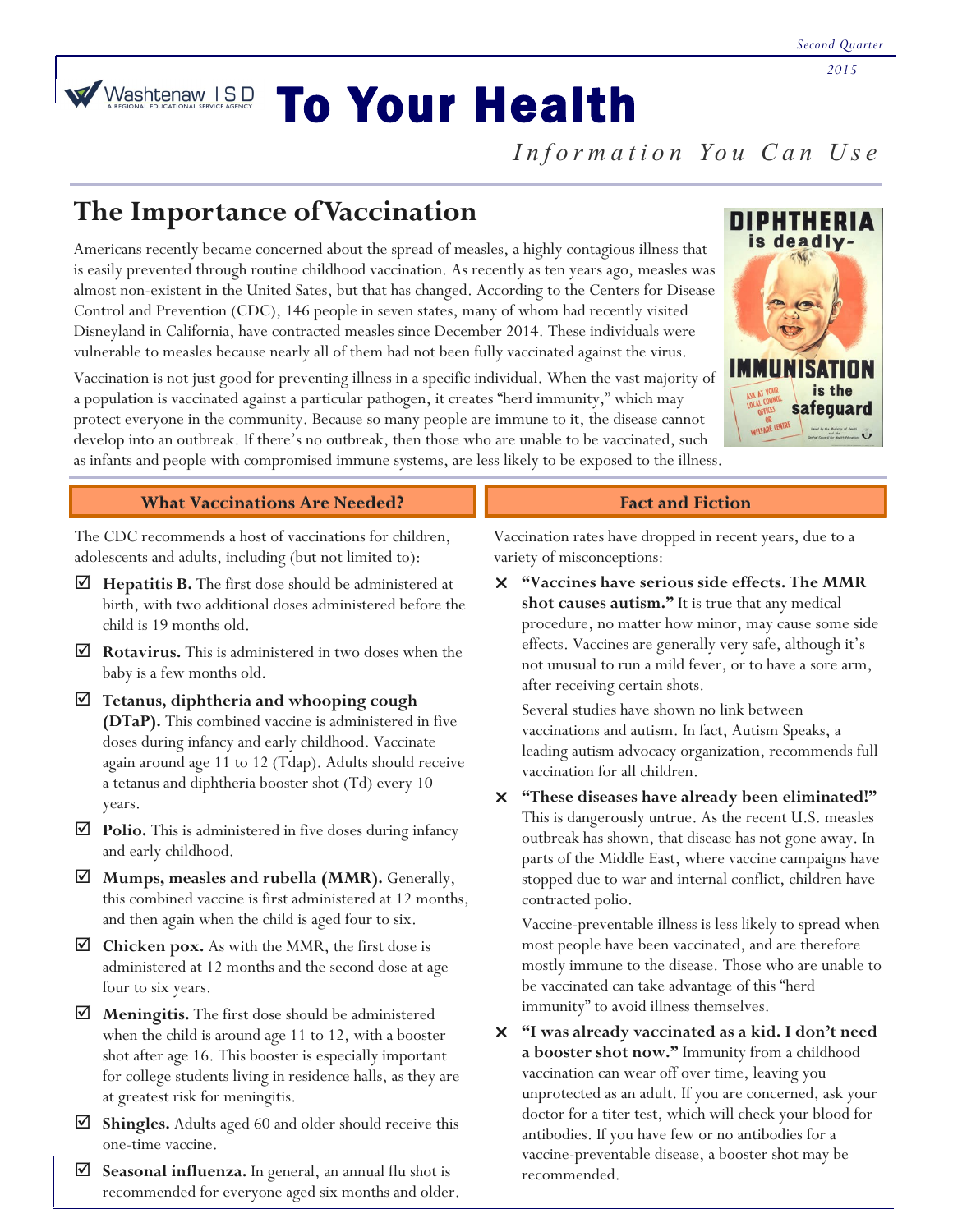*Second Quarter 2015*



## To Your Health

*I n f o r m a t i o n Yo u C a n U s e*

## **The Importance of Vaccination**

Americans recently became concerned about the spread of measles, a highly contagious illness that is easily prevented through routine childhood vaccination. As recently as ten years ago, measles was almost non-existent in the United Sates, but that has changed. According to the Centers for Disease Control and Prevention (CDC), 146 people in seven states, many of whom had recently visited Disneyland in California, have contracted measles since December 2014. These individuals were vulnerable to measles because nearly all of them had not been fully vaccinated against the virus.

Vaccination is not just good for preventing illness in a specific individual. When the vast majority of a population is vaccinated against a particular pathogen, it creates "herd immunity," which may protect everyone in the community. Because so many people are immune to it, the disease cannot develop into an outbreak. If there's no outbreak, then those who are unable to be vaccinated, such as infants and people with compromised immune systems, are less likely to be exposed to the illness.



## **What Vaccinations Are Needed? Fact and Fiction**

The CDC recommends a host of vaccinations for children, adolescents and adults, including (but not limited to):

- **Hepatitis B.** The first dose should be administered at birth, with two additional doses administered before the child is 19 months old.
- **Rotavirus.** This is administered in two doses when the baby is a few months old.
- **Tetanus, diphtheria and whooping cough (DTaP).** This combined vaccine is administered in five doses during infancy and early childhood. Vaccinate again around age 11 to 12 (Tdap). Adults should receive a tetanus and diphtheria booster shot (Td) every 10 years.
- **Polio.** This is administered in five doses during infancy and early childhood.
- **Mumps, measles and rubella (MMR).** Generally, this combined vaccine is first administered at 12 months, and then again when the child is aged four to six.
- **Chicken pox.** As with the MMR, the first dose is administered at 12 months and the second dose at age four to six years.
- **Meningitis.** The first dose should be administered when the child is around age 11 to 12, with a booster shot after age 16. This booster is especially important for college students living in residence halls, as they are at greatest risk for meningitis.
- **Shingles.** Adults aged 60 and older should receive this one-time vaccine.
- **Seasonal influenza.** In general, an annual flu shot is recommended for everyone aged six months and older.

Vaccination rates have dropped in recent years, due to a variety of misconceptions:

 **"Vaccines have serious side effects. The MMR shot causes autism."** It is true that any medical procedure, no matter how minor, may cause some side effects. Vaccines are generally very safe, although it's not unusual to run a mild fever, or to have a sore arm, after receiving certain shots.

Several studies have shown no link between vaccinations and autism. In fact, Autism Speaks, a leading autism advocacy organization, recommends full vaccination for all children.

 **"These diseases have already been eliminated!"** This is dangerously untrue. As the recent U.S. measles outbreak has shown, that disease has not gone away. In parts of the Middle East, where vaccine campaigns have stopped due to war and internal conflict, children have contracted polio.

Vaccine-preventable illness is less likely to spread when most people have been vaccinated, and are therefore mostly immune to the disease. Those who are unable to be vaccinated can take advantage of this "herd immunity" to avoid illness themselves.

 **"I was already vaccinated as a kid. I don't need a booster shot now."** Immunity from a childhood vaccination can wear off over time, leaving you unprotected as an adult. If you are concerned, ask your doctor for a titer test, which will check your blood for antibodies. If you have few or no antibodies for a vaccine-preventable disease, a booster shot may be recommended.